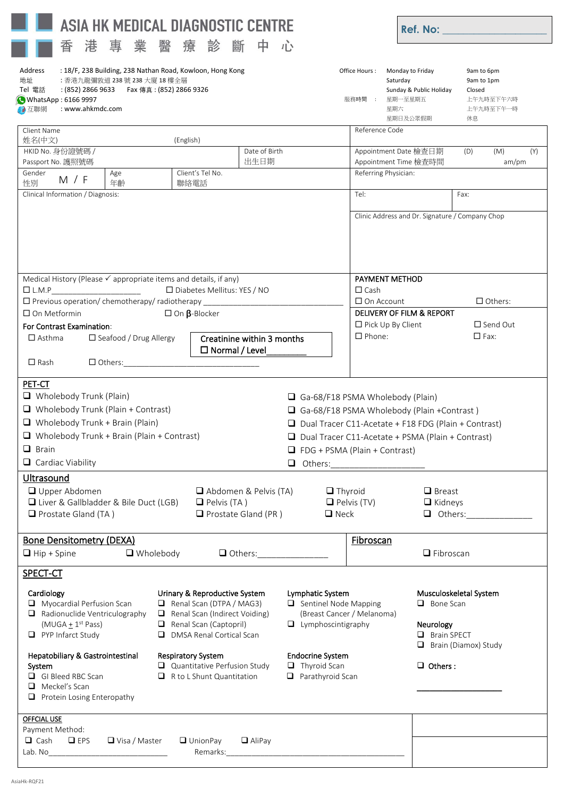| ASIA HK MEDICAL DIAGNOSTIC CENTRE                                                                                                                                                                                                                                                                                                                                                                                                                                                                                                                                                                                                                 |                                                                                                                                                                                                                                                 |                                                                                                                                                                                                                                                                                      |                                                                                                                                                                                            |                                                                                                                          | <b>Ref. No:</b> The contract of the contract of the contract of the contract of the contract of the contract of the contract of the contract of the contract of the contract of the contract of the contract of the contract of the |       |  |
|---------------------------------------------------------------------------------------------------------------------------------------------------------------------------------------------------------------------------------------------------------------------------------------------------------------------------------------------------------------------------------------------------------------------------------------------------------------------------------------------------------------------------------------------------------------------------------------------------------------------------------------------------|-------------------------------------------------------------------------------------------------------------------------------------------------------------------------------------------------------------------------------------------------|--------------------------------------------------------------------------------------------------------------------------------------------------------------------------------------------------------------------------------------------------------------------------------------|--------------------------------------------------------------------------------------------------------------------------------------------------------------------------------------------|--------------------------------------------------------------------------------------------------------------------------|-------------------------------------------------------------------------------------------------------------------------------------------------------------------------------------------------------------------------------------|-------|--|
| 醫<br>港<br>專<br>業<br>診<br>療<br>杳                                                                                                                                                                                                                                                                                                                                                                                                                                                                                                                                                                                                                   | 斷<br>中                                                                                                                                                                                                                                          | 心                                                                                                                                                                                                                                                                                    |                                                                                                                                                                                            |                                                                                                                          |                                                                                                                                                                                                                                     |       |  |
| : 18/F, 238 Building, 238 Nathan Road, Kowloon, Hong Kong<br>Address<br>Office Hours:<br>地址<br>:香港九龍彌敦道 238 號 238 大廈 18 樓全層<br>Saturday<br>: (852) 2866 9633    Fax 傳真 : (852) 2866 9326<br>Tel 電話<br>WhatsApp: 6166 9997<br>服務時間 :<br>: www.ahkmdc.com<br>星期六<br>● 互聯網                                                                                                                                                                                                                                                                                                                                                                           |                                                                                                                                                                                                                                                 |                                                                                                                                                                                                                                                                                      |                                                                                                                                                                                            |                                                                                                                          | Monday to Friday<br>9am to 6pm<br>9am to 1pm<br>Sunday & Public Holiday<br>Closed<br>星期一至星期五<br>上午九時至下午六時<br>上午九時至下午一時<br>星期日及公眾假期<br>休息                                                                                            |       |  |
| Client Name                                                                                                                                                                                                                                                                                                                                                                                                                                                                                                                                                                                                                                       |                                                                                                                                                                                                                                                 |                                                                                                                                                                                                                                                                                      |                                                                                                                                                                                            | Reference Code                                                                                                           |                                                                                                                                                                                                                                     |       |  |
| 姓名(中文)<br>(English)<br>HKID No. 身份證號碼 /                                                                                                                                                                                                                                                                                                                                                                                                                                                                                                                                                                                                           | Date of Birth                                                                                                                                                                                                                                   |                                                                                                                                                                                                                                                                                      |                                                                                                                                                                                            | Appointment Date 檢查日期                                                                                                    | (D)<br>(M)                                                                                                                                                                                                                          | (Y)   |  |
| Passport No. 護照號碼                                                                                                                                                                                                                                                                                                                                                                                                                                                                                                                                                                                                                                 | 出生日期                                                                                                                                                                                                                                            |                                                                                                                                                                                                                                                                                      |                                                                                                                                                                                            | Appointment Time 檢查時間                                                                                                    |                                                                                                                                                                                                                                     | am/pm |  |
| Gender<br>Client's Tel No.<br>Age<br>M / F<br>性別<br>年齡<br>聯絡電話                                                                                                                                                                                                                                                                                                                                                                                                                                                                                                                                                                                    |                                                                                                                                                                                                                                                 |                                                                                                                                                                                                                                                                                      | Referring Physician:                                                                                                                                                                       |                                                                                                                          |                                                                                                                                                                                                                                     |       |  |
| Clinical Information / Diagnosis:                                                                                                                                                                                                                                                                                                                                                                                                                                                                                                                                                                                                                 |                                                                                                                                                                                                                                                 |                                                                                                                                                                                                                                                                                      | Tel:                                                                                                                                                                                       |                                                                                                                          | Fax:                                                                                                                                                                                                                                |       |  |
|                                                                                                                                                                                                                                                                                                                                                                                                                                                                                                                                                                                                                                                   |                                                                                                                                                                                                                                                 |                                                                                                                                                                                                                                                                                      |                                                                                                                                                                                            | Clinic Address and Dr. Signature / Company Chop                                                                          |                                                                                                                                                                                                                                     |       |  |
| Medical History (Please ✓ appropriate items and details, if any)<br>□ Diabetes Mellitus: YES / NO<br>$\square$ L.M.P<br>$\Box$ Previous operation/ chemotherapy/ radiotherapy _<br><u>and the company of the company of the company of the company of the company of the company of the company of the company of the company of the company of the company of the company of the company of the company of the com</u><br>$\square$ On $\beta$ -Blocker<br>$\Box$ On Metformin<br>For Contrast Examination:<br>Creatinine within 3 months<br>$\Box$ Asthma<br>□ Seafood / Drug Allergy<br>$\Box$ Normal / Level<br>$\Box$ Rash<br>$\Box$ Others: |                                                                                                                                                                                                                                                 |                                                                                                                                                                                                                                                                                      | <b>PAYMENT METHOD</b><br>$\Box$ Cash<br>$\Box$ Others:<br>$\Box$ On Account<br>DELIVERY OF FILM & REPORT<br>$\Box$ Pick Up By Client<br>$\Box$ Send Out<br>$\Box$ Phone:<br>$\square$ Fax: |                                                                                                                          |                                                                                                                                                                                                                                     |       |  |
| $\Box$ Wholebody Trunk (Plain)<br>$\Box$ Wholebody Trunk (Plain + Contrast)<br>$\Box$ Wholebody Trunk + Brain (Plain)<br>$\Box$ Wholebody Trunk + Brain (Plain + Contrast)<br>$\Box$ Brain<br>$\Box$ Cardiac Viability<br>Ultrasound<br>Upper Abdomen                                                                                                                                                                                                                                                                                                                                                                                             |                                                                                                                                                                                                                                                 | Ga-68/F18 PSMA Wholebody (Plain)<br>Ga-68/F18 PSMA Wholebody (Plain +Contrast)<br>$\Box$ Dual Tracer C11-Acetate + F18 FDG (Plain + Contrast)<br>$\Box$ Dual Tracer C11-Acetate + PSMA (Plain + Contrast)<br>$\Box$ FDG + PSMA (Plain + Contrast)<br>$\Box$ Thyroid<br>$\Box$ Breast |                                                                                                                                                                                            |                                                                                                                          |                                                                                                                                                                                                                                     |       |  |
| □ Liver & Gallbladder & Bile Duct (LGB)<br>$\Box$ Prostate Gland (TA)                                                                                                                                                                                                                                                                                                                                                                                                                                                                                                                                                                             | Abdomen & Pelvis (TA)<br>$\Box$ Pelvis (TA)<br>$\Box$ Prostate Gland (PR)                                                                                                                                                                       | $\Box$ Neck                                                                                                                                                                                                                                                                          | $\Box$ Pelvis (TV)                                                                                                                                                                         | $\Box$ Kidneys                                                                                                           | <b>Q</b> Others: ______________                                                                                                                                                                                                     |       |  |
| <b>Bone Densitometry (DEXA)</b><br>$\Box$ Wholebody<br>$\Box$ Hip + Spine                                                                                                                                                                                                                                                                                                                                                                                                                                                                                                                                                                         | $\Box$ Others:                                                                                                                                                                                                                                  |                                                                                                                                                                                                                                                                                      | <b>Fibroscan</b>                                                                                                                                                                           | $\Box$ Fibroscan                                                                                                         |                                                                                                                                                                                                                                     |       |  |
| SPECT-CT                                                                                                                                                                                                                                                                                                                                                                                                                                                                                                                                                                                                                                          |                                                                                                                                                                                                                                                 |                                                                                                                                                                                                                                                                                      |                                                                                                                                                                                            |                                                                                                                          |                                                                                                                                                                                                                                     |       |  |
| Cardiology<br>Urinary & Reproductive System<br>$\Box$ Myocardial Perfusion Scan<br>Renal Scan (DTPA / MAG3)<br>Radionuclide Ventriculography<br>Renal Scan (Indirect Voiding)<br>Renal Scan (Captopril)<br>$(MUGA + 1st Pass)$<br>$\Box$ PYP Infarct Study<br>DMSA Renal Cortical Scan<br>Hepatobiliary & Gastrointestinal<br><b>Respiratory System</b><br>System<br>GI Bleed RBC Scan<br>$\Box$ R to L Shunt Quantitation<br>$\Box$ Meckel's Scan                                                                                                                                                                                                | Quantitative Perfusion Study                                                                                                                                                                                                                    | Lymphatic System<br>$\Box$ Sentinel Node Mapping<br>(Breast Cancer / Melanoma)<br>$\Box$ Lymphoscintigraphy<br><b>Endocrine System</b><br>$\Box$ Thyroid Scan<br>Parathyroid Scan                                                                                                    |                                                                                                                                                                                            | Musculoskeletal System<br>$\Box$ Bone Scan<br>Neurology<br><b>Brain SPECT</b><br>Brain (Diamox) Study<br>$\Box$ Others : |                                                                                                                                                                                                                                     |       |  |
| $\Box$ Protein Losing Enteropathy<br><b>OFFCIAL USE</b><br>Payment Method:<br>$\Box$ Cash<br>$\square$ EPS<br>$\Box$ Visa / Master<br>$\Box$ UnionPay                                                                                                                                                                                                                                                                                                                                                                                                                                                                                             | $\Box$ AliPay<br>Remarks: North Market Street and Street and Street and Street and Street and Street and Street and Street and Street and Street and Street and Street and Street and Street and Street and Street and Street and Street and St |                                                                                                                                                                                                                                                                                      |                                                                                                                                                                                            |                                                                                                                          |                                                                                                                                                                                                                                     |       |  |